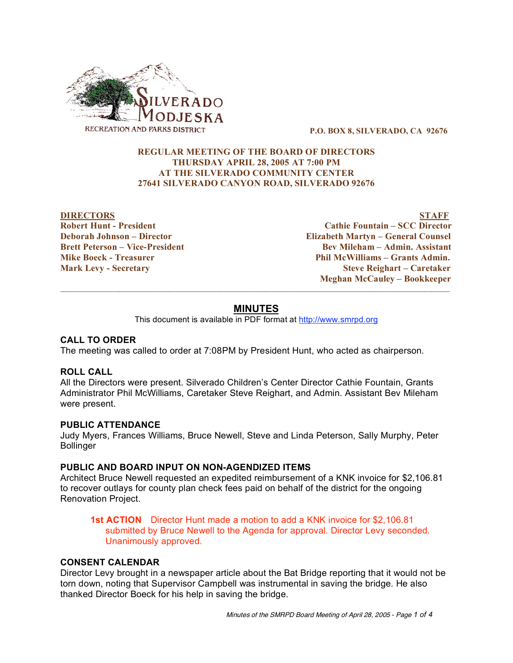

**P.O. BOX 8, SILVERADO, CA 92676**

# **REGULAR MEETING OF THE BOARD OF DIRECTORS THURSDAY APRIL 28, 2005 AT 7:00 PM AT THE SILVERADO COMMUNITY CENTER 27641 SILVERADO CANYON ROAD, SILVERADO 92676**

**DIRECTORS STAFF Robert Hunt - President Cathie Fountain – SCC Director Deborah Johnson – Director Elizabeth Martyn – General Counsel Brett Peterson – Vice-President Bev Mileham – Admin. Assistant Mike Boeck - Treasurer Phil McWilliams – Grants Admin. Mark Levy - Secretary Steve Reighart – Caretaker Meghan McCauley – Bookkeeper**

# **MINUTES**

 $\overline{\phantom{a}}$  , and the contribution of the contribution of the contribution of the contribution of the contribution of the contribution of the contribution of the contribution of the contribution of the contribution of the

This document is available in PDF format at http://www.smrpd.org

## **CALL TO ORDER**

The meeting was called to order at 7:08PM by President Hunt, who acted as chairperson.

## **ROLL CALL**

All the Directors were present. Silverado Children's Center Director Cathie Fountain, Grants Administrator Phil McWilliams, Caretaker Steve Reighart, and Admin. Assistant Bev Mileham were present.

#### **PUBLIC ATTENDANCE**

Judy Myers, Frances Williams, Bruce Newell, Steve and Linda Peterson, Sally Murphy, Peter **Bollinger** 

#### **PUBLIC AND BOARD INPUT ON NON-AGENDIZED ITEMS**

Architect Bruce Newell requested an expedited reimbursement of a KNK invoice for \$2,106.81 to recover outlays for county plan check fees paid on behalf of the district for the ongoing Renovation Project.

**1st ACTION** Director Hunt made a motion to add a KNK invoice for \$2,106.81 submitted by Bruce Newell to the Agenda for approval. Director Levy seconded. Unanimously approved.

#### **CONSENT CALENDAR**

Director Levy brought in a newspaper article about the Bat Bridge reporting that it would not be torn down, noting that Supervisor Campbell was instrumental in saving the bridge. He also thanked Director Boeck for his help in saving the bridge.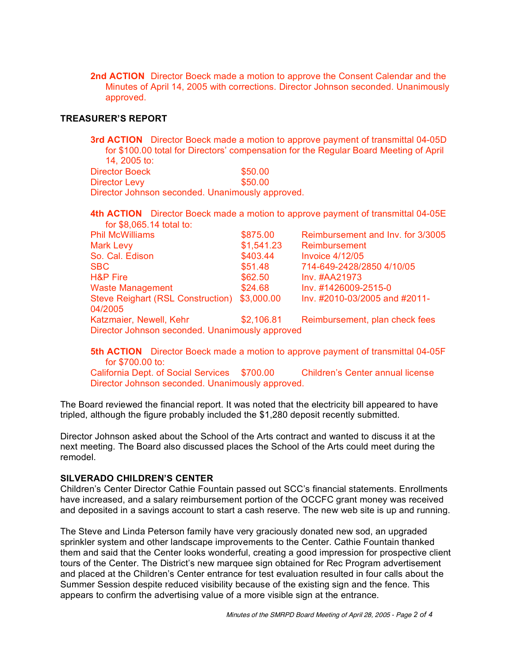**2nd ACTION** Director Boeck made a motion to approve the Consent Calendar and the Minutes of April 14, 2005 with corrections. Director Johnson seconded. Unanimously approved.

# **TREASURER'S REPORT**

**3rd ACTION** Director Boeck made a motion to approve payment of transmittal 04-05D for \$100.00 total for Directors' compensation for the Regular Board Meeting of April 14, 2005 to:

| Director Boeck                                   | \$50.00 |
|--------------------------------------------------|---------|
| Director Levy                                    | \$50.00 |
| Director Johnson seconded. Unanimously approved. |         |

**4th ACTION** Director Boeck made a motion to approve payment of transmittal 04-05E for \$8,065.14 total to:

| <b>Phil McWilliams</b>                          | \$875.00   | Reimbursement and Inv. for 3/3005 |
|-------------------------------------------------|------------|-----------------------------------|
| Mark Levy                                       | \$1,541.23 | Reimbursement                     |
| So. Cal. Edison                                 | \$403.44   | <b>Invoice 4/12/05</b>            |
| SBC.                                            | \$51.48    | 714-649-2428/2850 4/10/05         |
| <b>H&amp;P Fire</b>                             | \$62.50    | Inv. #AA21973                     |
| <b>Waste Management</b>                         | \$24.68    | Inv. #1426009-2515-0              |
| Steve Reighart (RSL Construction)<br>04/2005    | \$3,000.00 | Inv. #2010-03/2005 and #2011-     |
| Katzmaier, Newell, Kehr                         | \$2,106.81 | Reimbursement, plan check fees    |
| Director Johnson seconded. Unanimously approved |            |                                   |

**5th ACTION** Director Boeck made a motion to approve payment of transmittal 04-05F for \$700.00 to:

California Dept. of Social Services \$700.00 Children's Center annual license Director Johnson seconded. Unanimously approved.

The Board reviewed the financial report. It was noted that the electricity bill appeared to have tripled, although the figure probably included the \$1,280 deposit recently submitted.

Director Johnson asked about the School of the Arts contract and wanted to discuss it at the next meeting. The Board also discussed places the School of the Arts could meet during the remodel.

## **SILVERADO CHILDREN'S CENTER**

Children's Center Director Cathie Fountain passed out SCC's financial statements. Enrollments have increased, and a salary reimbursement portion of the OCCFC grant money was received and deposited in a savings account to start a cash reserve. The new web site is up and running.

The Steve and Linda Peterson family have very graciously donated new sod, an upgraded sprinkler system and other landscape improvements to the Center. Cathie Fountain thanked them and said that the Center looks wonderful, creating a good impression for prospective client tours of the Center. The District's new marquee sign obtained for Rec Program advertisement and placed at the Children's Center entrance for test evaluation resulted in four calls about the Summer Session despite reduced visibility because of the existing sign and the fence. This appears to confirm the advertising value of a more visible sign at the entrance.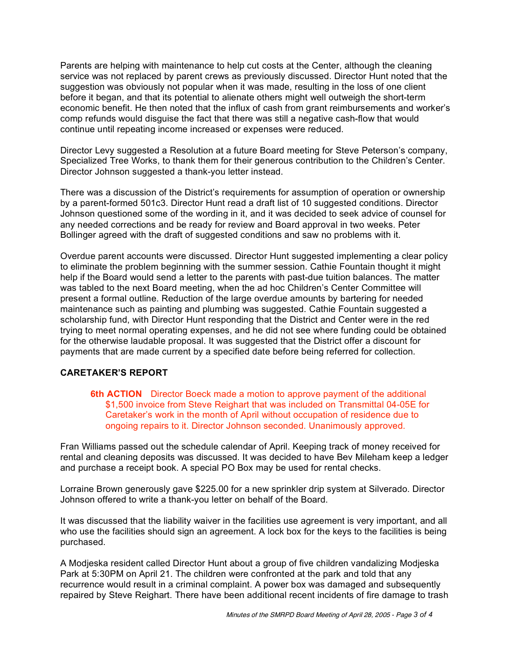Parents are helping with maintenance to help cut costs at the Center, although the cleaning service was not replaced by parent crews as previously discussed. Director Hunt noted that the suggestion was obviously not popular when it was made, resulting in the loss of one client before it began, and that its potential to alienate others might well outweigh the short-term economic benefit. He then noted that the influx of cash from grant reimbursements and worker's comp refunds would disguise the fact that there was still a negative cash-flow that would continue until repeating income increased or expenses were reduced.

Director Levy suggested a Resolution at a future Board meeting for Steve Peterson's company, Specialized Tree Works, to thank them for their generous contribution to the Children's Center. Director Johnson suggested a thank-you letter instead.

There was a discussion of the District's requirements for assumption of operation or ownership by a parent-formed 501c3. Director Hunt read a draft list of 10 suggested conditions. Director Johnson questioned some of the wording in it, and it was decided to seek advice of counsel for any needed corrections and be ready for review and Board approval in two weeks. Peter Bollinger agreed with the draft of suggested conditions and saw no problems with it.

Overdue parent accounts were discussed. Director Hunt suggested implementing a clear policy to eliminate the problem beginning with the summer session. Cathie Fountain thought it might help if the Board would send a letter to the parents with past-due tuition balances. The matter was tabled to the next Board meeting, when the ad hoc Children's Center Committee will present a formal outline. Reduction of the large overdue amounts by bartering for needed maintenance such as painting and plumbing was suggested. Cathie Fountain suggested a scholarship fund, with Director Hunt responding that the District and Center were in the red trying to meet normal operating expenses, and he did not see where funding could be obtained for the otherwise laudable proposal. It was suggested that the District offer a discount for payments that are made current by a specified date before being referred for collection.

# **CARETAKER'S REPORT**

**6th ACTION** Director Boeck made a motion to approve payment of the additional \$1,500 invoice from Steve Reighart that was included on Transmittal 04-05E for Caretaker's work in the month of April without occupation of residence due to ongoing repairs to it. Director Johnson seconded. Unanimously approved.

Fran Williams passed out the schedule calendar of April. Keeping track of money received for rental and cleaning deposits was discussed. It was decided to have Bev Mileham keep a ledger and purchase a receipt book. A special PO Box may be used for rental checks.

Lorraine Brown generously gave \$225.00 for a new sprinkler drip system at Silverado. Director Johnson offered to write a thank-you letter on behalf of the Board.

It was discussed that the liability waiver in the facilities use agreement is very important, and all who use the facilities should sign an agreement. A lock box for the keys to the facilities is being purchased.

A Modjeska resident called Director Hunt about a group of five children vandalizing Modjeska Park at 5:30PM on April 21. The children were confronted at the park and told that any recurrence would result in a criminal complaint. A power box was damaged and subsequently repaired by Steve Reighart. There have been additional recent incidents of fire damage to trash